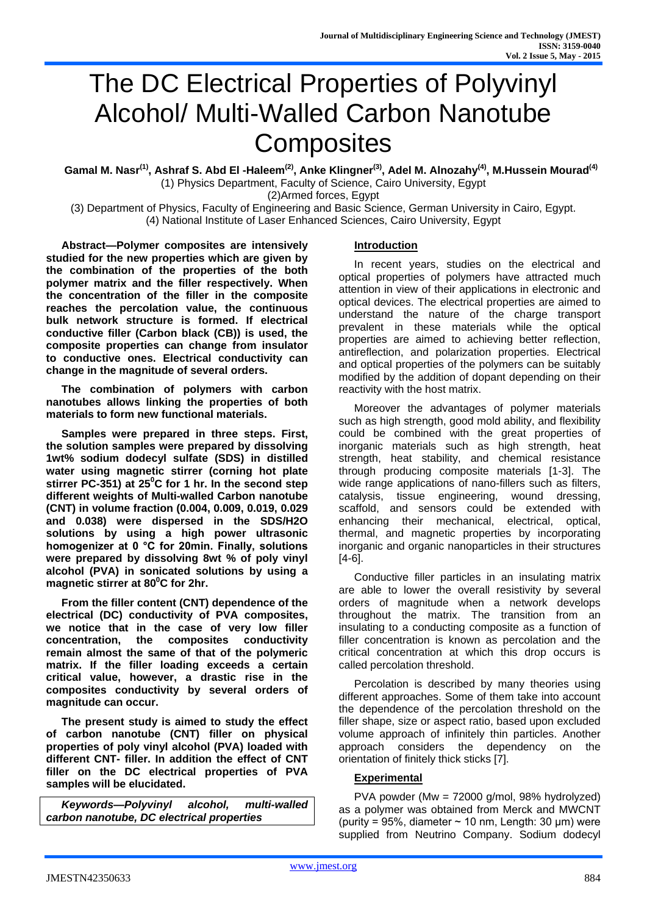# The DC Electrical Properties of Polyvinyl Alcohol/ Multi-Walled Carbon Nanotube **Composites**

**Gamal M. Nasr(1), Ashraf S. Abd El -Haleem(2), Anke Klingner(3), Adel M. Alnozahy(4), M.Hussein Mourad(4)** (1) Physics Department, Faculty of Science, Cairo University, Egypt

(2)Armed forces, Egypt

(3) Department of Physics, Faculty of Engineering and Basic Science, German University in Cairo, Egypt. (4) National Institute of Laser Enhanced Sciences, Cairo University, Egypt

**Abstract—Polymer composites are intensively studied for the new properties which are given by the combination of the properties of the both polymer matrix and the filler respectively. When the concentration of the filler in the composite reaches the percolation value, the continuous bulk network structure is formed. If electrical conductive filler (Carbon black (CB)) is used, the composite properties can change from insulator to conductive ones. Electrical conductivity can change in the magnitude of several orders.**

**The combination of polymers with carbon nanotubes allows linking the properties of both materials to form new functional materials.**

**Samples were prepared in three steps. First, the solution samples were prepared by dissolving 1wt% sodium dodecyl sulfate (SDS) in distilled water using magnetic stirrer (corning hot plate stirrer PC-351) at 25<sup>0</sup>C for 1 hr. In the second step different weights of Multi-walled Carbon nanotube (CNT) in volume fraction (0.004, 0.009, 0.019, 0.029 and 0.038) were dispersed in the SDS/H2O solutions by using a high power ultrasonic homogenizer at 0 °C for 20min. Finally, solutions were prepared by dissolving 8wt % of poly vinyl alcohol (PVA) in sonicated solutions by using a magnetic stirrer at 80<sup>0</sup>C for 2hr.**

**From the filler content (CNT) dependence of the electrical (DC) conductivity of PVA composites, we notice that in the case of very low filler concentration, the composites conductivity remain almost the same of that of the polymeric matrix. If the filler loading exceeds a certain critical value, however, a drastic rise in the composites conductivity by several orders of magnitude can occur.**

**The present study is aimed to study the effect of carbon nanotube (CNT) filler on physical properties of poly vinyl alcohol (PVA) loaded with different CNT- filler. In addition the effect of CNT filler on the DC electrical properties of PVA samples will be elucidated.**

*Keywords—Polyvinyl alcohol, multi-walled carbon nanotube, DC electrical properties*

# **Introduction**

In recent years, studies on the electrical and optical properties of polymers have attracted much attention in view of their applications in electronic and optical devices. The electrical properties are aimed to understand the nature of the charge transport prevalent in these materials while the optical properties are aimed to achieving better reflection, antireflection, and polarization properties. Electrical and optical properties of the polymers can be suitably modified by the addition of dopant depending on their reactivity with the host matrix.

Moreover the advantages of polymer materials such as high strength, good mold ability, and flexibility could be combined with the great properties of inorganic materials such as high strength, heat strength, heat stability, and chemical resistance through producing composite materials [1-3]. The wide range applications of nano-fillers such as filters, catalysis, tissue engineering, wound dressing, scaffold, and sensors could be extended with enhancing their mechanical, electrical, optical, thermal, and magnetic properties by incorporating inorganic and organic nanoparticles in their structures [4-6].

Conductive filler particles in an insulating matrix are able to lower the overall resistivity by several orders of magnitude when a network develops throughout the matrix. The transition from  $an$ insulating to a conducting composite as a function of filler concentration is known as percolation and the critical concentration at which this drop occurs is called percolation threshold.

Percolation is described by many theories using different approaches. Some of them take into account the dependence of the percolation threshold on the filler shape, size or aspect ratio, based upon excluded volume approach of infinitely thin particles. Another approach considers the dependency on the orientation of finitely thick sticks [7].

# **Experimental**

PVA powder (Mw = 72000 g/mol, 98% hydrolyzed) as a polymer was obtained from Merck and MWCNT (purity = 95%, diameter  $\sim$  10 nm, Length: 30 µm) were supplied from Neutrino Company. Sodium dodecyl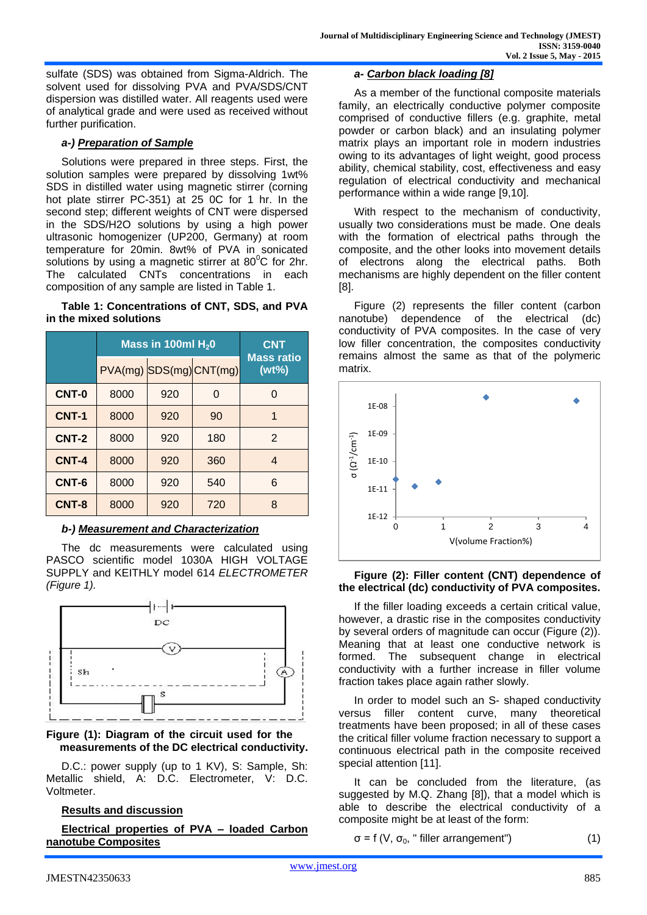sulfate (SDS) was obtained from Sigma-Aldrich. The solvent used for dissolving PVA and PVA/SDS/CNT dispersion was distilled water. All reagents used were of analytical grade and were used as received without further purification.

## *a-) Preparation of Sample*

Solutions were prepared in three steps. First, the solution samples were prepared by dissolving 1wt% SDS in distilled water using magnetic stirrer (corning hot plate stirrer PC-351) at 25 0C for 1 hr. In the second step; different weights of CNT were dispersed in the SDS/H2O solutions by using a high power ultrasonic homogenizer (UP200, Germany) at room temperature for 20min. 8wt% of PVA in sonicated solutions by using a magnetic stirrer at  $80^{\circ}$ C for 2hr. The calculated CNTs concentrations in each composition of any sample are listed in Table 1.

#### **Table 1: Concentrations of CNT, SDS, and PVA in the mixed solutions**

|              | Mass in 100ml $H_2$ 0 |     |                         | <b>CNT</b>                    |
|--------------|-----------------------|-----|-------------------------|-------------------------------|
|              |                       |     | PVA(mg) SDS(mg) CNT(mg) | <b>Mass ratio</b><br>$(wt\%)$ |
| CNT-0        | 8000                  | 920 | O                       | O                             |
| <b>CNT-1</b> | 8000                  | 920 | 90                      | 1                             |
| <b>CNT-2</b> | 8000                  | 920 | 180                     | $\mathcal{P}$                 |
| CNT-4        | 8000                  | 920 | 360                     | 4                             |
| CNT-6        | 8000                  | 920 | 540                     | 6                             |
| CNT-8        | 8000                  | 920 | 720                     | 8                             |

### *b-) Measurement and Characterization*

The dc measurements were calculated using PASCO scientific model 1030A HIGH VOLTAGE SUPPLY and KEITHLY model 614 *ELECTROMETER (Figure 1).*



## **Figure (1): Diagram of the circuit used for the measurements of the DC electrical conductivity.**

D.C.: power supply (up to 1 KV), S: Sample, Sh: Metallic shield, A: D.C. Electrometer, V: D.C. Voltmeter.

## **Results and discussion**

# **Electrical properties of PVA – loaded Carbon nanotube Composites**

## *a- Carbon black loading [8]*

As a member of the functional composite materials family, an electrically conductive polymer composite comprised of conductive fillers (e.g. graphite, metal powder or carbon black) and an insulating polymer matrix plays an important role in modern industries owing to its advantages of light weight, good process ability, chemical stability, cost, effectiveness and easy regulation of electrical conductivity and mechanical performance within a wide range [9,10].

With respect to the mechanism of conductivity, usually two considerations must be made. One deals with the formation of electrical paths through the composite, and the other looks into movement details of electrons along the electrical paths. Both mechanisms are highly dependent on the filler content [8].

Figure (2) represents the filler content (carbon nanotube) dependence of the electrical (dc) conductivity of PVA composites. In the case of very low filler concentration, the composites conductivity remains almost the same as that of the polymeric matrix.



## **Figure (2): Filler content (CNT) dependence of the electrical (dc) conductivity of PVA composites.**

If the filler loading exceeds a certain critical value, however, a drastic rise in the composites conductivity by several orders of magnitude can occur (Figure (2)). Meaning that at least one conductive network is formed. The subsequent change in electrical conductivity with a further increase in filler volume fraction takes place again rather slowly.

In order to model such an S- shaped conductivity versus filler content curve, many theoretical treatments have been proposed; in all of these cases the critical filler volume fraction necessary to support a continuous electrical path in the composite received special attention [11].

It can be concluded from the literature, (as suggested by M.Q. Zhang [8]), that a model which is able to describe the electrical conductivity of a composite might be at least of the form:

 $\sigma = f(V, \sigma_0,$  " filler arrangement") (1)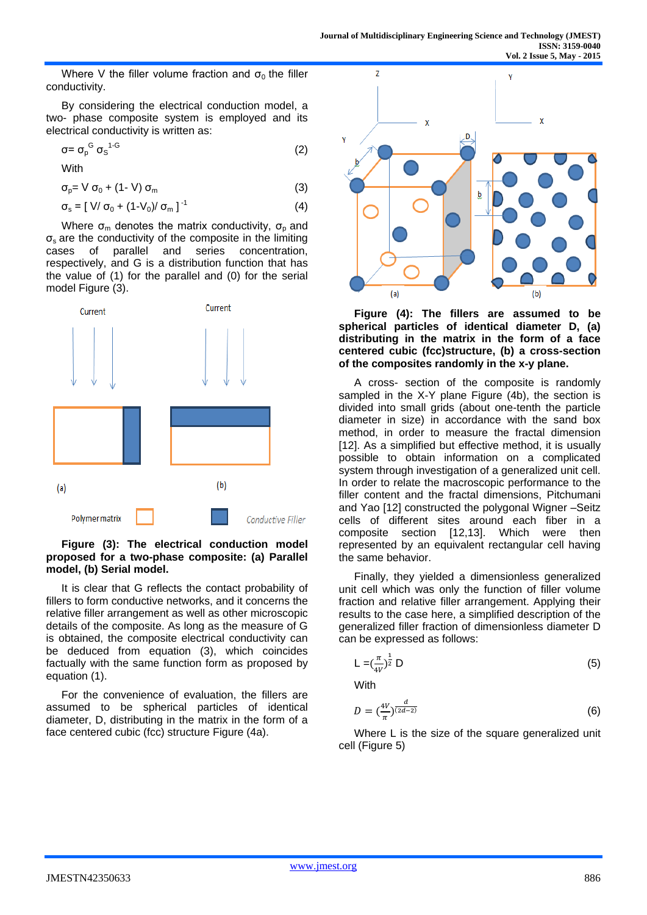Where V the filler volume fraction and  $\sigma_0$  the filler conductivity.

By considering the electrical conduction model, a two- phase composite system is employed and its electrical conductivity is written as:

$$
\sigma = \sigma_{\rm p}^{\rm G} \sigma_{\rm S}^{\rm 1-G} \tag{2}
$$

With

 $\sigma_{p} = V \sigma_{0} + (1-V) \sigma_{m}$  (3)

$$
\sigma_{\rm s} = [ \text{ V/ } \sigma_{0} + (1-\text{V}_{0})/\sigma_{\rm m} ]^{-1}
$$
 (4)

Where  $\sigma_{\rm m}$  denotes the matrix conductivity,  $\sigma_{\rm p}$  and  $\sigma_s$  are the conductivity of the composite in the limiting cases of parallel and series concentration, respectively, and G is a distribution function that has the value of (1) for the parallel and (0) for the serial model Figure (3).



## **Figure (3): The electrical conduction model proposed for a two-phase composite: (a) Parallel model, (b) Serial model.**

It is clear that G reflects the contact probability of fillers to form conductive networks, and it concerns the relative filler arrangement as well as other microscopic details of the composite. As long as the measure of G is obtained, the composite electrical conductivity can be deduced from equation (3), which coincides factually with the same function form as proposed by equation (1).

For the convenience of evaluation, the fillers are assumed to be spherical particles of identical diameter, D, distributing in the matrix in the form of a face centered cubic (fcc) structure Figure (4a).



**Figure (4): The fillers are assumed to be spherical particles of identical diameter D, (a) distributing in the matrix in the form of a face centered cubic (fcc)structure, (b) a cross-section of the composites randomly in the x-y plane.**

A cross- section of the composite is randomly sampled in the X-Y plane Figure (4b), the section is divided into small grids (about one-tenth the particle diameter in size) in accordance with the sand box method, in order to measure the fractal dimension [12]. As a simplified but effective method, it is usually possible to obtain information on a complicated system through investigation of a generalized unit cell. In order to relate the macroscopic performance to the filler content and the fractal dimensions, Pitchumani and Yao [12] constructed the polygonal Wigner –Seitz cells of different sites around each fiber in a composite section [12,13]. Which were then represented by an equivalent rectangular cell having the same behavior.

Finally, they yielded a dimensionless generalized unit cell which was only the function of filler volume fraction and relative filler arrangement. Applying their results to the case here, a simplified description of the generalized filler fraction of dimensionless diameter D can be expressed as follows:

$$
L = \left(\frac{\pi}{4V}\right)^{\frac{1}{2}} D \tag{5}
$$

**With** 

$$
D = \left(\frac{4V}{\pi}\right)^{\frac{d}{(2d-2)}}\tag{6}
$$

Where L is the size of the square generalized unit cell (Figure 5)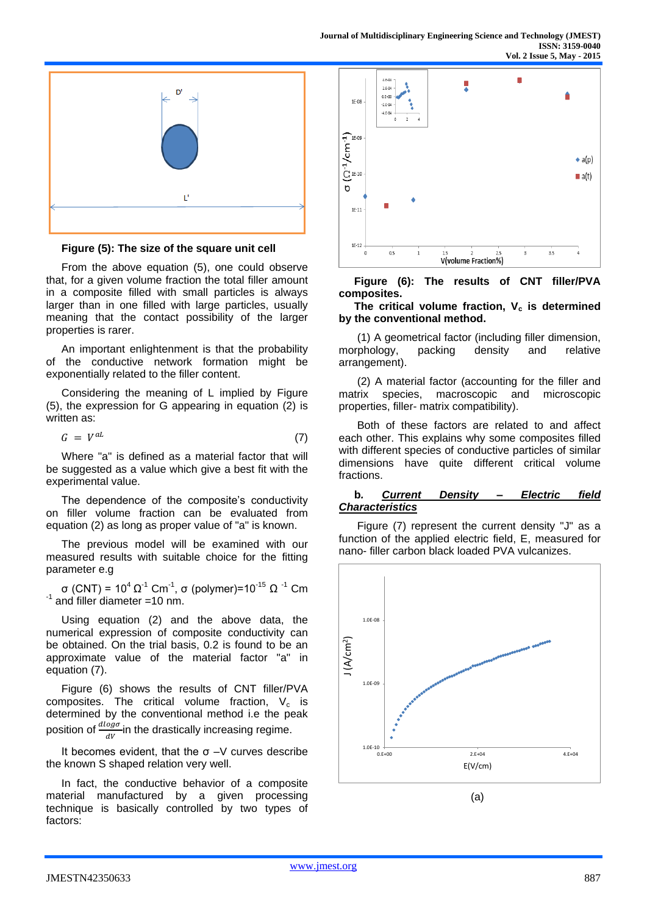

**Figure (5): The size of the square unit cell**

From the above equation (5), one could observe that, for a given volume fraction the total filler amount in a composite filled with small particles is always larger than in one filled with large particles, usually meaning that the contact possibility of the larger properties is rarer.

An important enlightenment is that the probability of the conductive network formation might be exponentially related to the filler content.

Considering the meaning of L implied by Figure (5), the expression for G appearing in equation (2) is written as:

$$
G = V^{aL} \tag{7}
$$

Where "a" is defined as a material factor that will be suggested as a value which give a best fit with the experimental value.

The dependence of the composite's conductivity on filler volume fraction can be evaluated from equation (2) as long as proper value of "a" is known.

The previous model will be examined with our measured results with suitable choice for the fitting parameter e.g

σ (CNT) =  $10^4$  Ω<sup>-1</sup> Cm<sup>-1</sup>, σ (polymer)= $10^{-15}$  Ω<sup>-1</sup> Cm  $^{-1}$  and filler diameter =10 nm.

Using equation (2) and the above data, the numerical expression of composite conductivity can be obtained. On the trial basis, 0.2 is found to be an approximate value of the material factor "a" in equation (7).

Figure (6) shows the results of CNT filler/PVA composites. The critical volume fraction,  $V_c$  is determined by the conventional method i.e the peak position of  $\frac{dlog\sigma}{dV}$ in the drastically increasing regime.

It becomes evident, that the  $\sigma$  –V curves describe the known S shaped relation very well.

In fact, the conductive behavior of a composite material manufactured by a given processing technique is basically controlled by two types of factors:



**Figure (6): The results of CNT filler/PVA composites.**

### The critical volume fraction,  $V_c$  is determined **by the conventional method.**

(1) A geometrical factor (including filler dimension, morphology, packing density and relative arrangement).

(2) A material factor (accounting for the filler and matrix species, macroscopic and microscopic properties, filler- matrix compatibility).

Both of these factors are related to and affect each other. This explains why some composites filled with different species of conductive particles of similar dimensions have quite different critical volume fractions.

#### **b***. Current Density – Electric field Characteristics*

Figure (7) represent the current density "J" as a function of the applied electric field, E, measured for nano- filler carbon black loaded PVA vulcanizes.

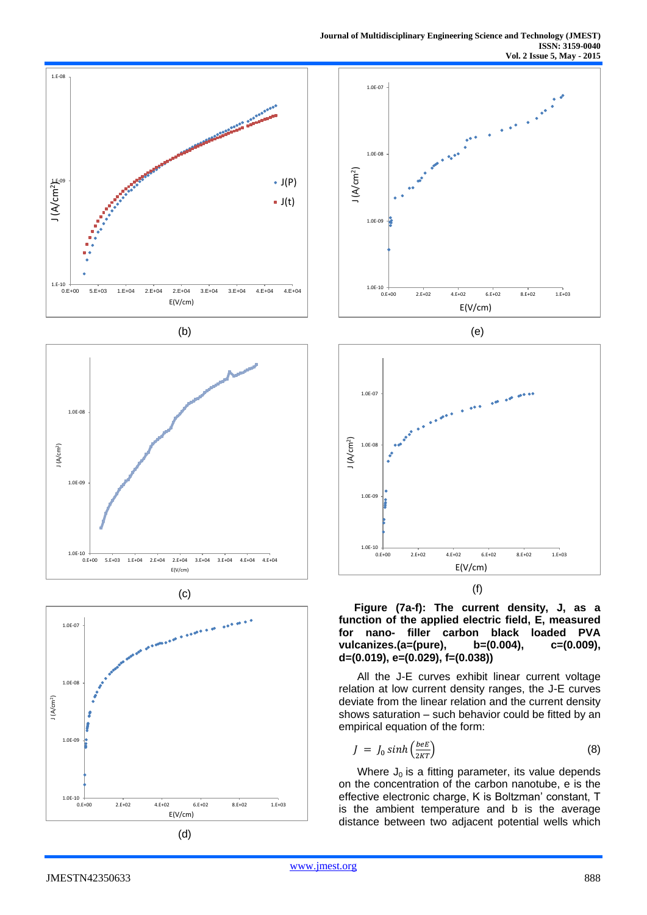













**Figure (7a-f): The current density, J, as a function of the applied electric field, E, measured for nano- filler carbon black loaded PVA vulcanizes.(a=(pure), b=(0.004), c=(0.009), d=(0.019), e=(0.029), f=(0.038))**

All the J-E curves exhibit linear current voltage relation at low current density ranges, the J-E curves deviate from the linear relation and the current density shows saturation – such behavior could be fitted by an empirical equation of the form:

$$
J = J_0 \sinh\left(\frac{beE}{2KT}\right) \tag{8}
$$

Where  $J_0$  is a fitting parameter, its value depends on the concentration of the carbon nanotube, e is the effective electronic charge, K is Boltzman' constant, T is the ambient temperature and b is the average distance between two adjacent potential wells which